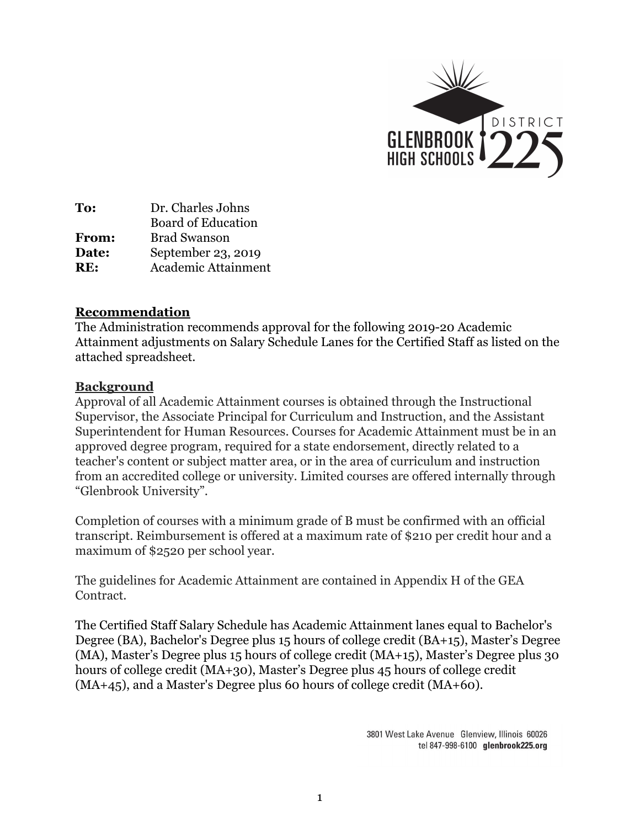

**To:** Dr. Charles Johns Board of Education **From:** Brad Swanson **Date:** September 23, 2019 **RE:** Academic Attainment

## **Recommendation**

The Administration recommends approval for the following 2019-20 Academic Attainment adjustments on Salary Schedule Lanes for the Certified Staff as listed on the attached spreadsheet.

## **Background**

Approval of all Academic Attainment courses is obtained through the Instructional Supervisor, the Associate Principal for Curriculum and Instruction, and the Assistant Superintendent for Human Resources. Courses for Academic Attainment must be in an approved degree program, required for a state endorsement, directly related to a teacher's content or subject matter area, or in the area of curriculum and instruction from an accredited college or university. Limited courses are offered internally through "Glenbrook University".

Completion of courses with a minimum grade of B must be confirmed with an official transcript. Reimbursement is offered at a maximum rate of \$210 per credit hour and a maximum of \$2520 per school year.

The guidelines for Academic Attainment are contained in Appendix H of the GEA Contract.

The Certified Staff Salary Schedule has Academic Attainment lanes equal to Bachelor's Degree (BA), Bachelor's Degree plus 15 hours of college credit (BA+15), Master's Degree (MA), Master's Degree plus 15 hours of college credit (MA+15), Master's Degree plus 30 hours of college credit (MA+30), Master's Degree plus 45 hours of college credit (MA+45), and a Master's Degree plus 60 hours of college credit (MA+60).